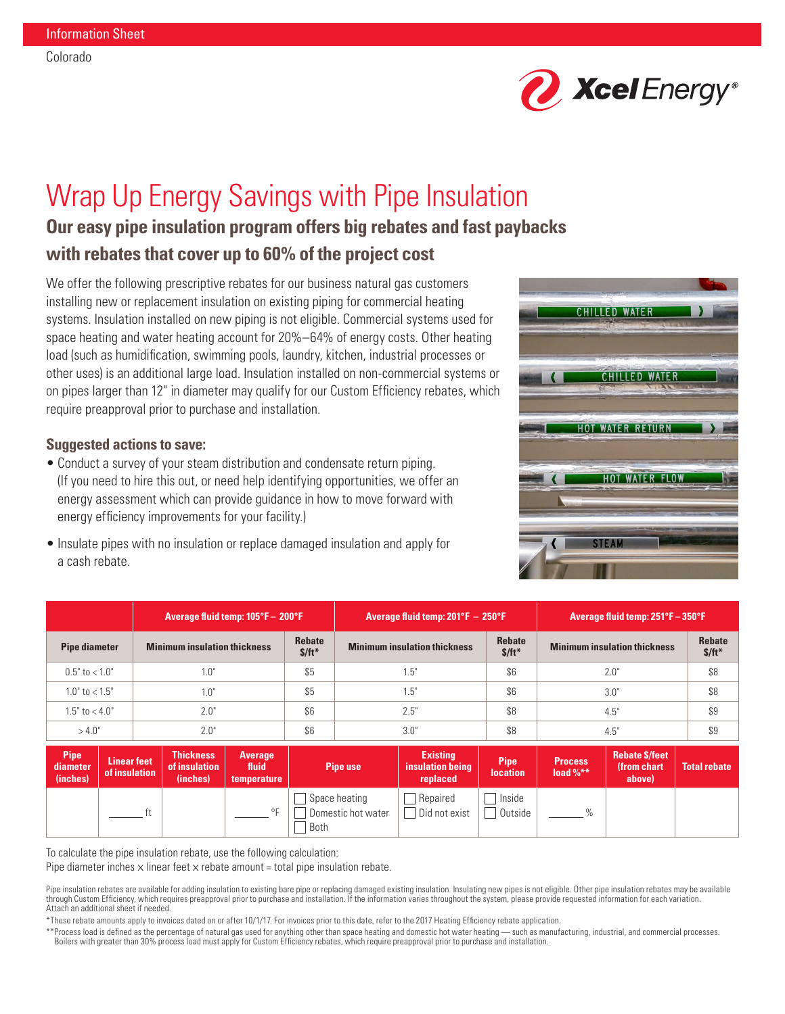

# Wrap Up Energy Savings with Pipe Insulation

## **Our easy pipe insulation program offers big rebates and fast paybacks with rebates that cover up to 60% of the project cost**

We offer the following prescriptive rebates for our business natural gas customers installing new or replacement insulation on existing piping for commercial heating systems. Insulation installed on new piping is not eligible. Commercial systems used for space heating and water heating account for 20%–64% of energy costs. Other heating load (such as humidification, swimming pools, laundry, kitchen, industrial processes or other uses) is an additional large load. Insulation installed on non-commercial systems or on pipes larger than 12" in diameter may qualify for our Custom Efficiency rebates, which require preapproval prior to purchase and installation.

### **Suggested actions to save:**

- Conduct a survey of your steam distribution and condensate return piping. (If you need to hire this out, or need help identifying opportunities, we offer an energy assessment which can provide guidance in how to move forward with energy efficiency improvements for your facility.)
- Insulate pipes with no insulation or replace damaged insulation and apply for a cash rebate.



|                      | Average fluid temp: 105°F - 200°F   |                   | Average fluid temp: $201^{\circ}F - 250^{\circ}F$ |                          | Average fluid temp: 251°F - 350°F   |                          |
|----------------------|-------------------------------------|-------------------|---------------------------------------------------|--------------------------|-------------------------------------|--------------------------|
| <b>Pipe diameter</b> | <b>Minimum insulation thickness</b> | Rebate<br>$$/ft*$ | <b>Minimum insulation thickness</b>               | <b>Rebate</b><br>$$/ft*$ | <b>Minimum insulation thickness</b> | <b>Rebate</b><br>$$/ft*$ |
| $0.5"$ to $< 1.0"$   | 1.0"                                | \$5               | l.5"                                              | \$6                      | 2.0"                                | \$8                      |
| $1.0"$ to $< 1.5"$   | 1.0"                                | \$5               | 1.5"                                              | \$6                      | 3.0"                                | \$8                      |
| $1.5"$ to $< 4.0"$   | 2.0"                                | \$6               | 2.5"                                              | \$8                      | 4.5"                                | \$9                      |
| >4.0"                | 2.0"                                | \$6               | 3.0"                                              | \$8                      | 4.5"                                | \$9                      |
| --                   | _____                               |                   | ___                                               |                          | _____                               |                          |

| <b>Pipe</b><br>diameter<br>(inches) | <b>Linear feet</b><br>of insulation | <b>Thickness</b><br>of insulation<br>(inches) | <b>Average</b><br>fluid<br>temperature | <b>Pipe use</b>                               | <b>Existing</b><br>insulation being<br>replaced | <b>Pipe</b><br><b>location</b> | <b>Process</b><br>load $%$ ** | <b>Rebate \$/feet</b><br>(from chart)<br>above) | <b>Total rebate</b> |
|-------------------------------------|-------------------------------------|-----------------------------------------------|----------------------------------------|-----------------------------------------------|-------------------------------------------------|--------------------------------|-------------------------------|-------------------------------------------------|---------------------|
|                                     |                                     |                                               | O <sub>1</sub>                         | Space heating<br>Domestic hot water<br>' Both | Repaired<br>Did not exist                       | Inside<br>Outside              | 0/2                           |                                                 |                     |

To calculate the pipe insulation rebate, use the following calculation:

Pipe diameter inches  $x$  linear feet  $x$  rebate amount = total pipe insulation rebate.

Pipe insulation rebates are available for adding insulation to existing bare pipe or replacing damaged existing insulation. Insulating new pipes is not eligible. Other pipe insulation rebates may be available through Custom Efficiency, which requires preapproval prior to purchase and installation. If the information varies throughout the system, please provide requested information for each variation. Attach an additional sheet if needed.

\*These rebate amounts apply to invoices dated on or after 10/1/17. For invoices prior to this date, refer to the 2017 Heating Efficiency rebate application.

\*\*Process load is defined as the percentage of natural gas used for anything other than space heating and domestic hot water heating — such as manufacturing, industrial, and commercial processes. Boilers with greater than 30% process load must apply for Custom Efficiency rebates, which require preapproval prior to purchase and installation.